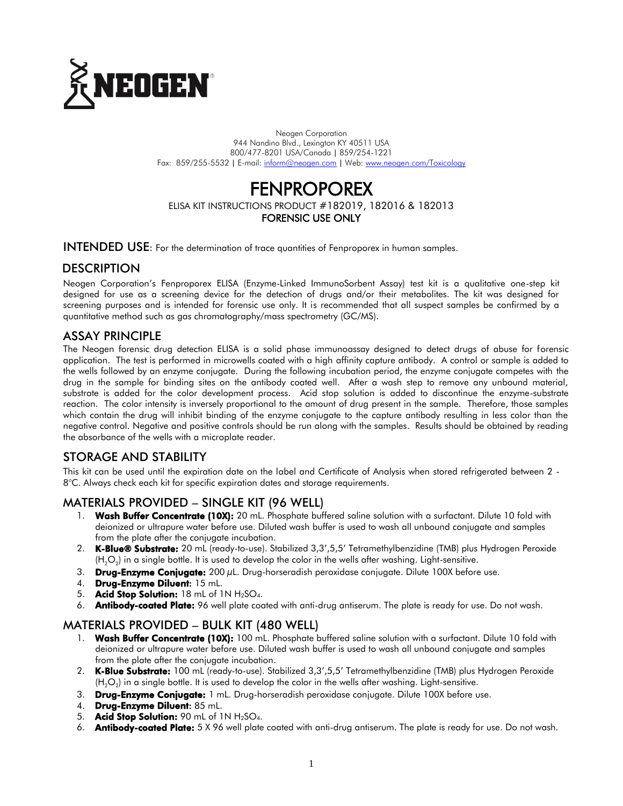

Neogen Corporation 944 Nandino Blvd., Lexington KY 40511 USA 800/477-8201 USA/Canada | 859/254-1221 Fax: 859/255-5532 | E-mail[: inform@neogen.com](mailto:inform@neogen.com) | Web[: www.neogen.com/Toxicology](http://www.neogen.com/Toxicology)

# FENPROPOREX

ELISA KIT INSTRUCTIONS PRODUCT #182019, 182016 & 182013 FORENSIC USE ONLY

INTENDED USE: For the determination of trace quantities of Fenproporex in human samples.

## **DESCRIPTION**

Neogen Corporation's Fenproporex ELISA (Enzyme-Linked ImmunoSorbent Assay) test kit is a qualitative one-step kit designed for use as a screening device for the detection of drugs and/or their metabolites. The kit was designed for screening purposes and is intended for forensic use only. It is recommended that all suspect samples be confirmed by a quantitative method such as gas chromatography/mass spectrometry (GC/MS).

## ASSAY PRINCIPLE

The Neogen forensic drug detection ELISA is a solid phase immunoassay designed to detect drugs of abuse for forensic application. The test is performed in microwells coated with a high affinity capture antibody. A control or sample is added to the wells followed by an enzyme conjugate. During the following incubation period, the enzyme conjugate competes with the drug in the sample for binding sites on the antibody coated well. After a wash step to remove any unbound material, substrate is added for the color development process. Acid stop solution is added to discontinue the enzyme-substrate reaction. The color intensity is inversely proportional to the amount of drug present in the sample. Therefore, those samples which contain the drug will inhibit binding of the enzyme conjugate to the capture antibody resulting in less color than the negative control. Negative and positive controls should be run along with the samples. Results should be obtained by reading the absorbance of the wells with a microplate reader.

# STORAGE AND STABILITY

This kit can be used until the expiration date on the label and Certificate of Analysis when stored refrigerated between 2 - 8°C. Always check each kit for specific expiration dates and storage requirements.

# MATERIALS PROVIDED – SINGLE KIT (96 WELL)

- 1. Wash Buffer Concentrate (10X): 20 mL. Phosphate buffered saline solution with a surfactant. Dilute 10 fold with deionized or ultrapure water before use. Diluted wash buffer is used to wash all unbound conjugate and samples from the plate after the conjugate incubation.
- 2. K-Blue® Substrate: 20 mL (ready-to-use). Stabilized 3,3',5,5' Tetramethylbenzidine (TMB) plus Hydrogen Peroxide (H $_{2}$ O $_{2}$ ) in a single bottle. It is used to develop the color in the wells after washing. Light-sensitive.
- 3. **Drug-Enzyme Conjugate:** 200  $\mu$ L. Drug-horseradish peroxidase conjugate. Dilute 100X before use.
- 4. Drug-Enzyme Diluent: 15 mL.
- 5. Acid Stop Solution:  $18$  mL of  $1N H_2SO_4$ .
- 6. Antibody-coated Plate: 96 well plate coated with anti-drug antiserum. The plate is ready for use. Do not wash.

## MATERIALS PROVIDED – BULK KIT (480 WELL)

- 1. Wash Buffer Concentrate (10X): 100 mL. Phosphate buffered saline solution with a surfactant. Dilute 10 fold with deionized or ultrapure water before use. Diluted wash buffer is used to wash all unbound conjugate and samples from the plate after the conjugate incubation.
- 2. K-Blue Substrate: 100 mL (ready-to-use). Stabilized 3,3',5,5' Tetramethylbenzidine (TMB) plus Hydrogen Peroxide (H $_{2}$ O $_{2}$ ) in a single bottle. It is used to develop the color in the wells after washing. Light-sensitive.
- 3. Drug-Enzyme Conjugate: 1 mL. Drug-horseradish peroxidase conjugate. Dilute 100X before use.
- 4. Drug-Enzyme Diluent: 85 mL.
- 5. Acid Stop Solution: 90 mL of 1N H<sub>2</sub>SO<sub>4</sub>.
- 6. Antibody-coated Plate: 5 X 96 well plate coated with anti-drug antiserum. The plate is ready for use. Do not wash.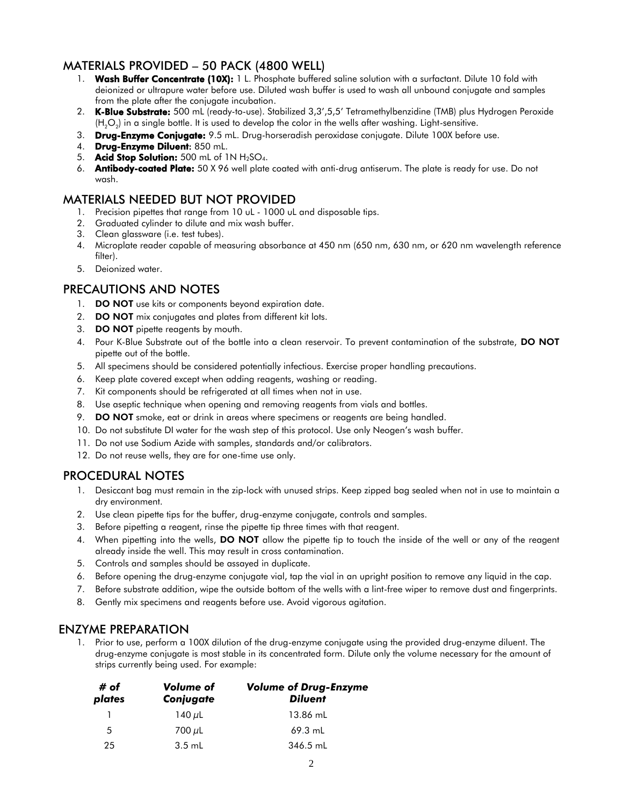# MATERIALS PROVIDED – 50 PACK (4800 WELL)

- 1. Wash Buffer Concentrate (10X): 1 L. Phosphate buffered saline solution with a surfactant. Dilute 10 fold with deionized or ultrapure water before use. Diluted wash buffer is used to wash all unbound conjugate and samples from the plate after the conjugate incubation.
- 2. K-Blue Substrate: 500 mL (ready-to-use). Stabilized 3,3',5,5' Tetramethylbenzidine (TMB) plus Hydrogen Peroxide (H $_{2}$ O $_{2}$ ) in a single bottle. It is used to develop the color in the wells after washing. Light-sensitive.
- 3. Drug-Enzyme Conjugate: 9.5 mL. Drug-horseradish peroxidase conjugate. Dilute 100X before use.
- 4. Drug-Enzyme Diluent: 850 mL.
- 5. Acid Stop Solution: 500 mL of 1N H<sub>2</sub>SO<sub>4</sub>.
- 6. Antibody-coated Plate: 50 X 96 well plate coated with anti-drug antiserum. The plate is ready for use. Do not wash.

## MATERIALS NEEDED BUT NOT PROVIDED

- 1. Precision pipettes that range from 10 uL 1000 uL and disposable tips.
- 2. Graduated cylinder to dilute and mix wash buffer.
- 3. Clean glassware (i.e. test tubes).
- 4. Microplate reader capable of measuring absorbance at 450 nm (650 nm, 630 nm, or 620 nm wavelength reference filter).
- 5. Deionized water.

# PRECAUTIONS AND NOTES

- 1. **DO NOT** use kits or components beyond expiration date.
- 2. **DO NOT** mix conjugates and plates from different kit lots.
- 3. DO NOT pipette reagents by mouth.
- 4. Pour K-Blue Substrate out of the bottle into a clean reservoir. To prevent contamination of the substrate, DO NOT pipette out of the bottle.
- 5. All specimens should be considered potentially infectious. Exercise proper handling precautions.
- 6. Keep plate covered except when adding reagents, washing or reading.
- 7. Kit components should be refrigerated at all times when not in use.
- 8. Use aseptic technique when opening and removing reagents from vials and bottles.
- 9. DO NOT smoke, eat or drink in areas where specimens or reagents are being handled.
- 10. Do not substitute DI water for the wash step of this protocol. Use only Neogen's wash buffer.
- 11. Do not use Sodium Azide with samples, standards and/or calibrators.
- 12. Do not reuse wells, they are for one-time use only.

# PROCEDURAL NOTES

- 1. Desiccant bag must remain in the zip-lock with unused strips. Keep zipped bag sealed when not in use to maintain a dry environment.
- 2. Use clean pipette tips for the buffer, drug-enzyme conjugate, controls and samples.
- 3. Before pipetting a reagent, rinse the pipette tip three times with that reagent.
- 4. When pipetting into the wells, **DO NOT** allow the pipette tip to touch the inside of the well or any of the reagent already inside the well. This may result in cross contamination.
- 5. Controls and samples should be assayed in duplicate.
- 6. Before opening the drug-enzyme conjugate vial, tap the vial in an upright position to remove any liquid in the cap.
- 7. Before substrate addition, wipe the outside bottom of the wells with a lint-free wiper to remove dust and fingerprints.
- 8. Gently mix specimens and reagents before use. Avoid vigorous agitation.

# ENZYME PREPARATION

1. Prior to use, perform a 100X dilution of the drug-enzyme conjugate using the provided drug-enzyme diluent. The drug-enzyme conjugate is most stable in its concentrated form. Dilute only the volume necessary for the amount of strips currently being used. For example:

| # of<br>plates | Volume of<br>Conjugate | <b>Volume of Drug-Enzyme</b><br><b>Diluent</b> |  |
|----------------|------------------------|------------------------------------------------|--|
|                | 140 $\mu$ L            | 13.86 mL                                       |  |
| 5              | 700 $\mu$ L            | $69.3$ mL                                      |  |
| 25             | $3.5$ mL               | 346.5 mL                                       |  |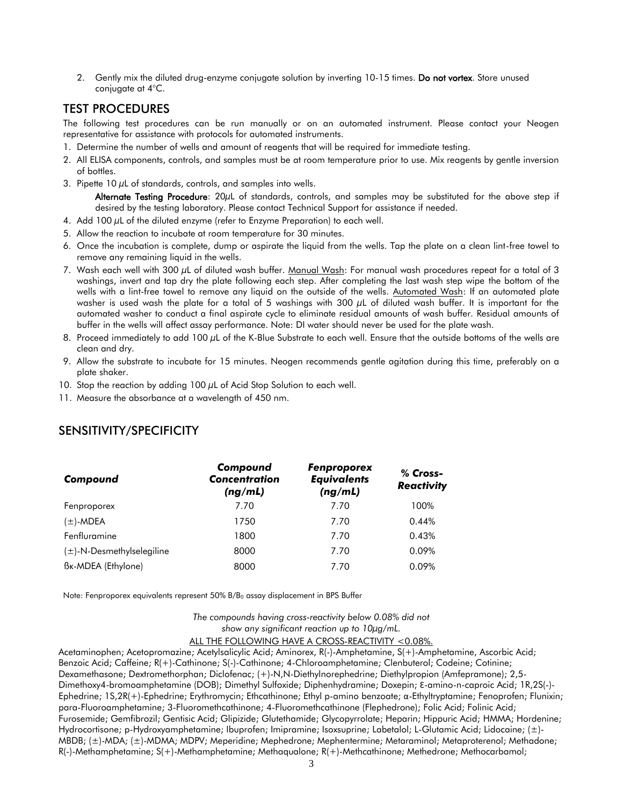2. Gently mix the diluted drug-enzyme conjugate solution by inverting 10-15 times. Do not vortex. Store unused conjugate at 4°C.

## TEST PROCEDURES

The following test procedures can be run manually or on an automated instrument. Please contact your Neogen representative for assistance with protocols for automated instruments.

- 1. Determine the number of wells and amount of reagents that will be required for immediate testing.
- 2. All ELISA components, controls, and samples must be at room temperature prior to use. Mix reagents by gentle inversion of bottles.
- 3. Pipette 10  $\mu$ L of standards, controls, and samples into wells.

Alternate Testing Procedure: 20µL of standards, controls, and samples may be substituted for the above step if desired by the testing laboratory. Please contact Technical Support for assistance if needed.

- 4. Add 100  $\mu$ L of the diluted enzyme (refer to Enzyme Preparation) to each well.
- 5. Allow the reaction to incubate at room temperature for 30 minutes.
- 6. Once the incubation is complete, dump or aspirate the liquid from the wells. Tap the plate on a clean lint-free towel to remove any remaining liquid in the wells.
- 7. Wash each well with 300  $\mu$ L of diluted wash buffer. Manual Wash: For manual wash procedures repeat for a total of 3 washings, invert and tap dry the plate following each step. After completing the last wash step wipe the bottom of the wells with a lint-free towel to remove any liquid on the outside of the wells. Automated Wash: If an automated plate washer is used wash the plate for a total of 5 washings with 300 µL of diluted wash buffer. It is important for the automated washer to conduct a final aspirate cycle to eliminate residual amounts of wash buffer. Residual amounts of buffer in the wells will affect assay performance. Note: DI water should never be used for the plate wash.
- 8. Proceed immediately to add 100  $\mu$ L of the K-Blue Substrate to each well. Ensure that the outside bottoms of the wells are clean and dry.
- 9. Allow the substrate to incubate for 15 minutes. Neogen recommends gentle agitation during this time, preferably on a plate shaker.
- 10. Stop the reaction by adding 100  $\mu$ L of Acid Stop Solution to each well.
- 11. Measure the absorbance at a wavelength of 450 nm.

| Compound                        | Compound<br><b>Concentration</b><br>(ng/mL) | <b>Fenproporex</b><br><b>Equivalents</b><br>(ng/mL) | % Cross-<br><b>Reactivity</b> |
|---------------------------------|---------------------------------------------|-----------------------------------------------------|-------------------------------|
| Fenproporex                     | 7.70                                        | 7.70                                                | 100%                          |
| (±)-MDEA                        | 1750                                        | 7.70                                                | 0.44%                         |
| Fenfluramine                    | 1800                                        | 7.70                                                | 0.43%                         |
| $(\pm)$ -N-Desmethylselegiline  | 8000                                        | 7.70                                                | 0.09%                         |
| B <sub>K</sub> -MDEA (Ethylone) | 8000                                        | 7.70                                                | 0.09%                         |

## SENSITIVITY/SPECIFICITY

Note: Fenproporex equivalents represent  $50\%$  B/B<sub>0</sub> assay displacement in BPS Buffer

*The compounds having cross-reactivity below 0.08% did not show any significant reaction up to 10µg/mL.*

ALL THE FOLLOWING HAVE A CROSS-REACTIVITY <0.08%.

Acetaminophen; Acetopromazine; Acetylsalicylic Acid; Aminorex, R(-)-Amphetamine, S(+)-Amphetamine, Ascorbic Acid; Benzoic Acid; Caffeine; R(+)-Cathinone; S(-)-Cathinone; 4-Chloroamphetamine; Clenbuterol; Codeine; Cotinine; Dexamethasone; Dextromethorphan; Diclofenac; (+)-N,N-Diethylnorephedrine; Diethylpropion (Amfepramone); 2,5- Dimethoxy4-bromoamphetamine (DOB); Dimethyl Sulfoxide; Diphenhydramine; Doxepin; Ɛ-amino-n-caproic Acid; 1R,2S(-)- Ephedrine; 1S,2R(+)-Ephedrine; Erythromycin; Ethcathinone; Ethyl p-amino benzoate; α-Ethyltryptamine; Fenoprofen; Flunixin; para-Fluoroamphetamine; 3-Fluoromethcathinone; 4-Fluoromethcathinone (Flephedrone); Folic Acid; Folinic Acid; Furosemide; Gemfibrozil; Gentisic Acid; Glipizide; Glutethamide; Glycopyrrolate; Heparin; Hippuric Acid; HMMA; Hordenine; Hydrocortisone; p-Hydroxyamphetamine; Ibuprofen; Imipramine; Isoxsuprine; Labetalol; L-Glutamic Acid; Lidocaine; (±)- MBDB; (±)-MDA; (±)-MDMA; MDPV; Meperidine; Mephedrone; Mephentermine; Metaraminol; Metaproterenol; Methadone; R(-)-Methamphetamine; S(+)-Methamphetamine; Methaqualone; R(+)-Methcathinone; Methedrone; Methocarbamol;